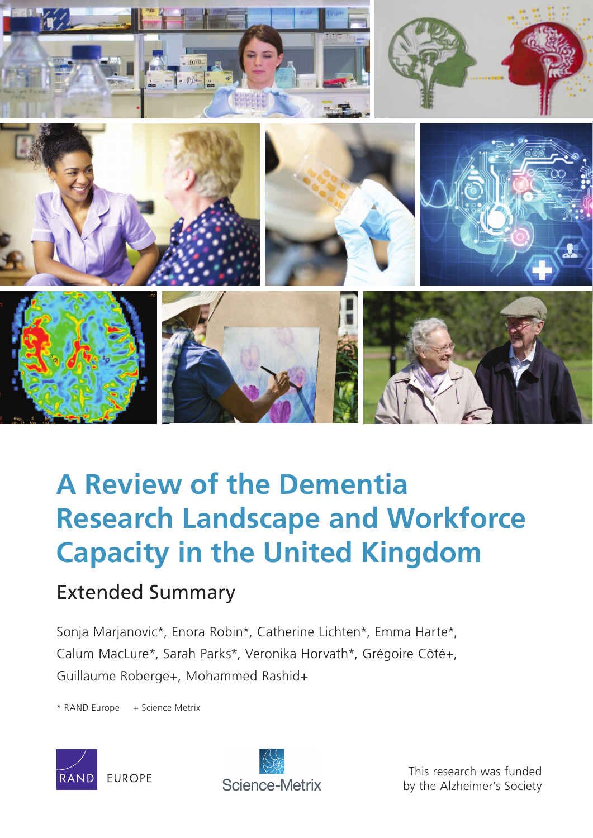

# **A Review of the Dementia [Research Landscape and Workforce](http://www.rand.org/pubs/research_reports/RR1186z1.html)  Capacity in the United Kingdom**

# Extended Summary

Sonja Marjanovic\*, Enora Robin\*, Catherine Lichten\*, Emma Harte\*, Calum MacLure\*, Sarah Parks\*, Veronika Horvath\*, Grégoire Côté+, Guillaume Roberge+, Mohammed Rashid+

\* RAND Europe + Science Metrix





This research was funded by the Alzheimer's Society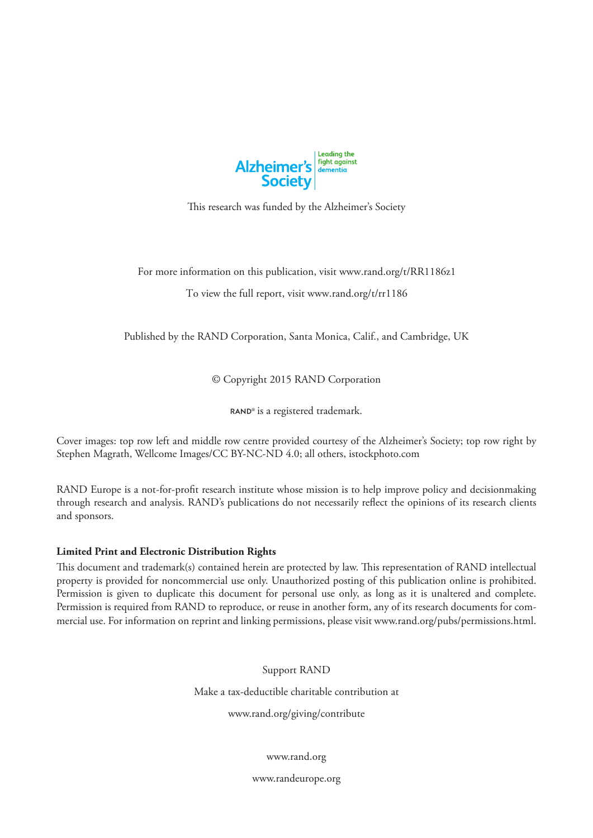

This research was funded by the Alzheimer's Society

For more information on this publication, visit [www.rand.org/t/](http://www.rand.org/t/RR1186z1)RR1186z1

To view the full report, visit [www.rand.org/t/rr1186](http://www.rand.org/t/rr1186)

Published by the RAND Corporation, Santa Monica, Calif., and Cambridge, UK

© Copyright 2015 RAND Corporation

RAND<sup>®</sup> is a registered trademark.

Cover images: top row left and middle row centre provided courtesy of the Alzheimer's Society; top row right by Stephen Magrath, Wellcome Images/CC BY-NC-ND 4.0; all others, istockphoto.com

RAND Europe is a not-for-profit research institute whose mission is to help improve policy and decisionmaking through research and analysis. RAND's publications do not necessarily reflect the opinions of its research clients and sponsors.

#### **Limited Print and Electronic Distribution Rights**

This document and trademark(s) contained herein are protected by law. This representation of RAND intellectual property is provided for noncommercial use only. Unauthorized posting of this publication online is prohibited. Permission is given to duplicate this document for personal use only, as long as it is unaltered and complete. Permission is required from RAND to reproduce, or reuse in another form, any of its research documents for commercial use. For information on reprint and linking permissions, please visit [www.rand.org/pubs/permissions.html.](http://www.rand.org/pubs/permissions.html)

Support RAND

Make a tax-deductible charitable contribution at

[www.rand.org/giving/contribute](http://www.rand.org/giving/contribute)

[www.rand.org](http://www.rand.org)

[www.randeurope.org](http://www.randeurope.org)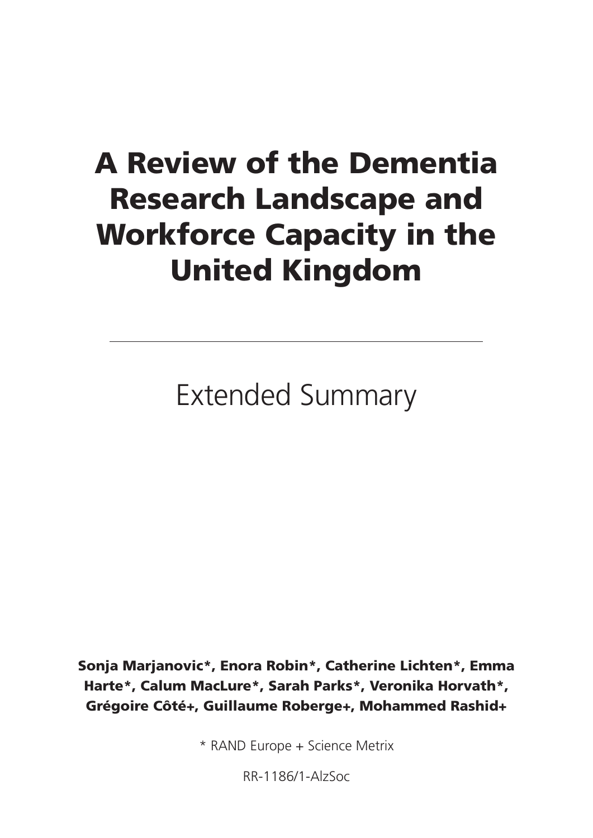# A Review of the Dementia Research Landscape and Workforce Capacity in the United Kingdom

Extended Summary

Sonja Marjanovic\*, Enora Robin\*, Catherine Lichten\*, Emma Harte\*, Calum MacLure\*, Sarah Parks\*, Veronika Horvath\*, Grégoire Côté+, Guillaume Roberge+, Mohammed Rashid+

\* RAND Europe + Science Metrix

RR-1186/1-AlzSoc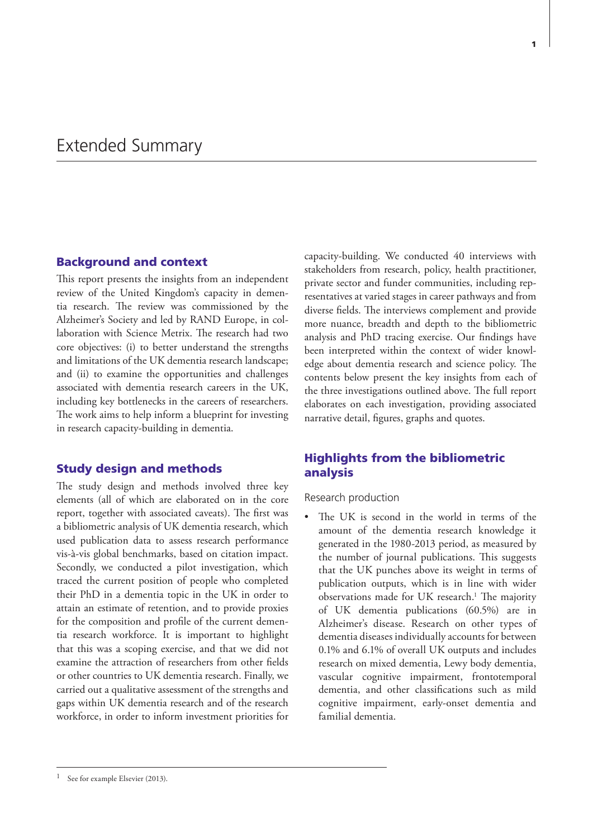#### Background and context

This report presents the insights from an independent review of the United Kingdom's capacity in dementia research. The review was commissioned by the Alzheimer's Society and led by RAND Europe, in collaboration with Science Metrix. The research had two core objectives: (i) to better understand the strengths and limitations of the UK dementia research landscape; and (ii) to examine the opportunities and challenges associated with dementia research careers in the UK, including key bottlenecks in the careers of researchers. The work aims to help inform a blueprint for investing in research capacity-building in dementia.

#### Study design and methods

The study design and methods involved three key elements (all of which are elaborated on in the core report, together with associated caveats). The first was a bibliometric analysis of UK dementia research, which used publication data to assess research performance vis-à-vis global benchmarks, based on citation impact. Secondly, we conducted a pilot investigation, which traced the current position of people who completed their PhD in a dementia topic in the UK in order to attain an estimate of retention, and to provide proxies for the composition and profile of the current dementia research workforce. It is important to highlight that this was a scoping exercise, and that we did not examine the attraction of researchers from other fields or other countries to UK dementia research. Finally, we carried out a qualitative assessment of the strengths and gaps within UK dementia research and of the research workforce, in order to inform investment priorities for capacity-building. We conducted 40 interviews with stakeholders from research, policy, health practitioner, private sector and funder communities, including representatives at varied stages in career pathways and from diverse fields. The interviews complement and provide more nuance, breadth and depth to the bibliometric analysis and PhD tracing exercise. Our findings have been interpreted within the context of wider knowledge about dementia research and science policy. The contents below present the key insights from each of the three investigations outlined above. The full report elaborates on each investigation, providing associated narrative detail, figures, graphs and quotes.

## Highlights from the bibliometric analysis

#### Research production

The UK is second in the world in terms of the amount of the dementia research knowledge it generated in the 1980-2013 period, as measured by the number of journal publications. This suggests that the UK punches above its weight in terms of publication outputs, which is in line with wider observations made for UK research.<sup>1</sup> The majority of UK dementia publications (60.5%) are in Alzheimer's disease. Research on other types of dementia diseases individually accounts for between 0.1% and 6.1% of overall UK outputs and includes research on mixed dementia, Lewy body dementia, vascular cognitive impairment, frontotemporal dementia, and other classifications such as mild cognitive impairment, early-onset dementia and familial dementia.

See for example Elsevier (2013).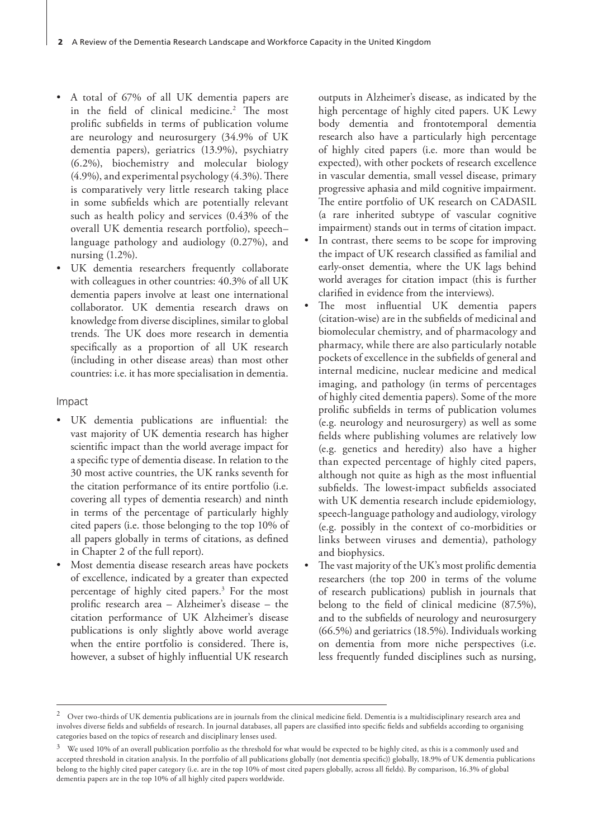- A total of 67% of all UK dementia papers are in the field of clinical medicine.2 The most prolific subfields in terms of publication volume are neurology and neurosurgery (34.9% of UK dementia papers), geriatrics (13.9%), psychiatry (6.2%), biochemistry and molecular biology (4.9%), and experimental psychology (4.3%). There is comparatively very little research taking place in some subfields which are potentially relevant such as health policy and services (0.43% of the overall UK dementia research portfolio), speech– language pathology and audiology (0.27%), and nursing (1.2%).
- UK dementia researchers frequently collaborate with colleagues in other countries: 40.3% of all UK dementia papers involve at least one international collaborator. UK dementia research draws on knowledge from diverse disciplines, similar to global trends. The UK does more research in dementia specifically as a proportion of all UK research (including in other disease areas) than most other countries: i.e. it has more specialisation in dementia.

#### Impact

- UK dementia publications are influential: the vast majority of UK dementia research has higher scientific impact than the world average impact for a specific type of dementia disease. In relation to the 30 most active countries, the UK ranks seventh for the citation performance of its entire portfolio (i.e. covering all types of dementia research) and ninth in terms of the percentage of particularly highly cited papers (i.e. those belonging to the top 10% of all papers globally in terms of citations, as defined in Chapter 2 of the full report).
- Most dementia disease research areas have pockets of excellence, indicated by a greater than expected percentage of highly cited papers.3 For the most prolific research area – Alzheimer's disease – the citation performance of UK Alzheimer's disease publications is only slightly above world average when the entire portfolio is considered. There is, however, a subset of highly influential UK research

outputs in Alzheimer's disease, as indicated by the high percentage of highly cited papers. UK Lewy body dementia and frontotemporal dementia research also have a particularly high percentage of highly cited papers (i.e. more than would be expected), with other pockets of research excellence in vascular dementia, small vessel disease, primary progressive aphasia and mild cognitive impairment. The entire portfolio of UK research on CADASIL (a rare inherited subtype of vascular cognitive impairment) stands out in terms of citation impact.

- In contrast, there seems to be scope for improving the impact of UK research classified as familial and early-onset dementia, where the UK lags behind world averages for citation impact (this is further clarified in evidence from the interviews).
- The most influential UK dementia papers (citation-wise) are in the subfields of medicinal and biomolecular chemistry, and of pharmacology and pharmacy, while there are also particularly notable pockets of excellence in the subfields of general and internal medicine, nuclear medicine and medical imaging, and pathology (in terms of percentages of highly cited dementia papers). Some of the more prolific subfields in terms of publication volumes (e.g. neurology and neurosurgery) as well as some fields where publishing volumes are relatively low (e.g. genetics and heredity) also have a higher than expected percentage of highly cited papers, although not quite as high as the most influential subfields. The lowest-impact subfields associated with UK dementia research include epidemiology, speech-language pathology and audiology, virology (e.g. possibly in the context of co-morbidities or links between viruses and dementia), pathology and biophysics.
- The vast majority of the UK's most prolific dementia researchers (the top 200 in terms of the volume of research publications) publish in journals that belong to the field of clinical medicine (87.5%), and to the subfields of neurology and neurosurgery (66.5%) and geriatrics (18.5%). Individuals working on dementia from more niche perspectives (i.e. less frequently funded disciplines such as nursing,

<sup>2</sup> Over two-thirds of UK dementia publications are in journals from the clinical medicine field. Dementia is a multidisciplinary research area and involves diverse fields and subfields of research. In journal databases, all papers are classified into specific fields and subfields according to organising categories based on the topics of research and disciplinary lenses used.

 $3$  We used 10% of an overall publication portfolio as the threshold for what would be expected to be highly cited, as this is a commonly used and accepted threshold in citation analysis. In the portfolio of all publications globally (not dementia specific)) globally, 18.9% of UK dementia publications belong to the highly cited paper category (i.e. are in the top 10% of most cited papers globally, across all fields). By comparison, 16.3% of global dementia papers are in the top 10% of all highly cited papers worldwide.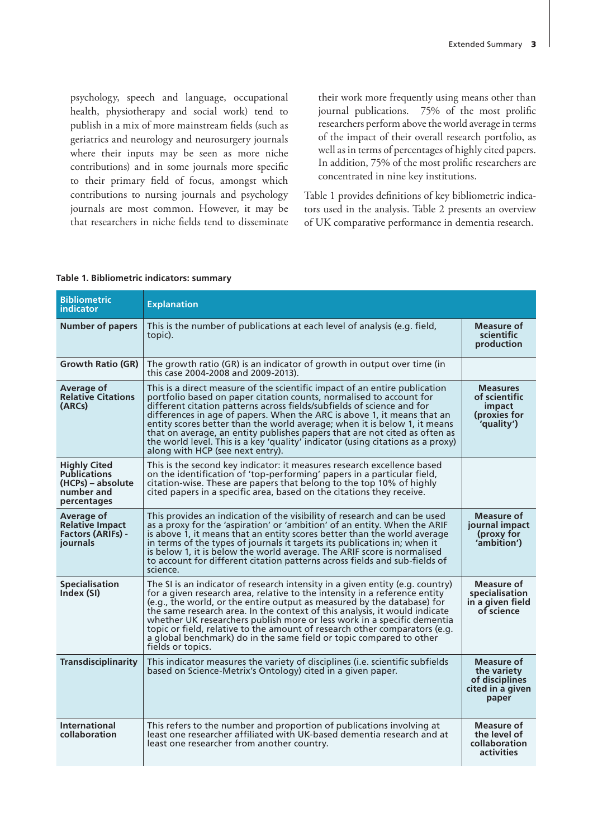psychology, speech and language, occupational health, physiotherapy and social work) tend to publish in a mix of more mainstream fields (such as geriatrics and neurology and neurosurgery journals where their inputs may be seen as more niche contributions) and in some journals more specific to their primary field of focus, amongst which contributions to nursing journals and psychology journals are most common. However, it may be that researchers in niche fields tend to disseminate

their work more frequently using means other than journal publications. 75% of the most prolific researchers perform above the world average in terms of the impact of their overall research portfolio, as well as in terms of percentages of highly cited papers. In addition, 75% of the most prolific researchers are concentrated in nine key institutions.

Table 1 provides definitions of key bibliometric indicators used in the analysis. Table 2 presents an overview of UK comparative performance in dementia research.

#### **Table 1. Bibliometric indicators: summary**

| <b>Bibliometric</b><br>indicator                                                             | <b>Explanation</b>                                                                                                                                                                                                                                                                                                                                                                                                                                                                                                                                                                       |                                                                          |
|----------------------------------------------------------------------------------------------|------------------------------------------------------------------------------------------------------------------------------------------------------------------------------------------------------------------------------------------------------------------------------------------------------------------------------------------------------------------------------------------------------------------------------------------------------------------------------------------------------------------------------------------------------------------------------------------|--------------------------------------------------------------------------|
| <b>Number of papers</b>                                                                      | This is the number of publications at each level of analysis (e.g. field,<br>topic).                                                                                                                                                                                                                                                                                                                                                                                                                                                                                                     | Measure of<br>scientific<br>production                                   |
| <b>Growth Ratio (GR)</b>                                                                     | The growth ratio (GR) is an indicator of growth in output over time (in<br>this case 2004-2008 and 2009-2013).                                                                                                                                                                                                                                                                                                                                                                                                                                                                           |                                                                          |
| Average of<br><b>Relative Citations</b><br>(ARCs)                                            | This is a direct measure of the scientific impact of an entire publication<br>portfolio based on paper citation counts, normalised to account for<br>different citation patterns across fields/subfields of science and for<br>differences in age of papers. When the ARC is above 1, it means that an<br>entity scores better than the world average; when it is below 1, it means<br>that on average, an entity publishes papers that are not cited as often as<br>the world level. This is a key 'quality' indicator (using citations as a proxy)<br>along with HCP (see next entry). | <b>Measures</b><br>of scientific<br>impact<br>(proxies for<br>'quality') |
| <b>Highly Cited</b><br><b>Publications</b><br>(HCPs) – absolute<br>number and<br>percentages | This is the second key indicator: it measures research excellence based<br>on the identification of 'top-performing' papers in a particular field,<br>citation-wise. These are papers that belong to the top 10% of highly<br>cited papers in a specific area, based on the citations they receive.                                                                                                                                                                                                                                                                                      |                                                                          |
| Average of<br><b>Relative Impact</b><br><b>Factors (ARIFs) -</b><br>journals                 | This provides an indication of the visibility of research and can be used<br>as a proxy for the 'aspiration' or 'ambition' of an entity. When the ARIF<br>is above 1, it means that an entity scores better than the world average<br>in terms of the types of journals it targets its publications in; when it<br>is below 1, it is below the world average. The ARIF score is normalised<br>to account for different citation patterns across fields and sub-fields of<br>science.                                                                                                     | Measure of<br>journal impact<br>(proxy for<br>'ambition')                |
| <b>Specialisation</b><br>Index (SI)                                                          | The SI is an indicator of research intensity in a given entity (e.g. country)<br>for a given research area, relative to the intensity in a reference entity<br>(e.g., the world, or the entire output as measured by the database) for<br>the same research area. In the context of this analysis, it would indicate<br>whether UK researchers publish more or less work in a specific dementia<br>topic or field, relative to the amount of research other comparators (e.g.<br>a global benchmark) do in the same field or topic compared to other<br>fields or topics.                | <b>Measure of</b><br>specialisation<br>in a given field<br>of science    |
| <b>Transdisciplinarity</b>                                                                   | This indicator measures the variety of disciplines (i.e. scientific subfields<br>based on Science-Metrix's Ontology) cited in a given paper.                                                                                                                                                                                                                                                                                                                                                                                                                                             | Measure of<br>the variety<br>of disciplines<br>cited in a given<br>paper |
| <b>International</b><br>collaboration                                                        | This refers to the number and proportion of publications involving at<br>least one researcher affiliated with UK-based dementia research and at<br>least one researcher from another country.                                                                                                                                                                                                                                                                                                                                                                                            | Measure of<br>the level of<br>collaboration<br>activities                |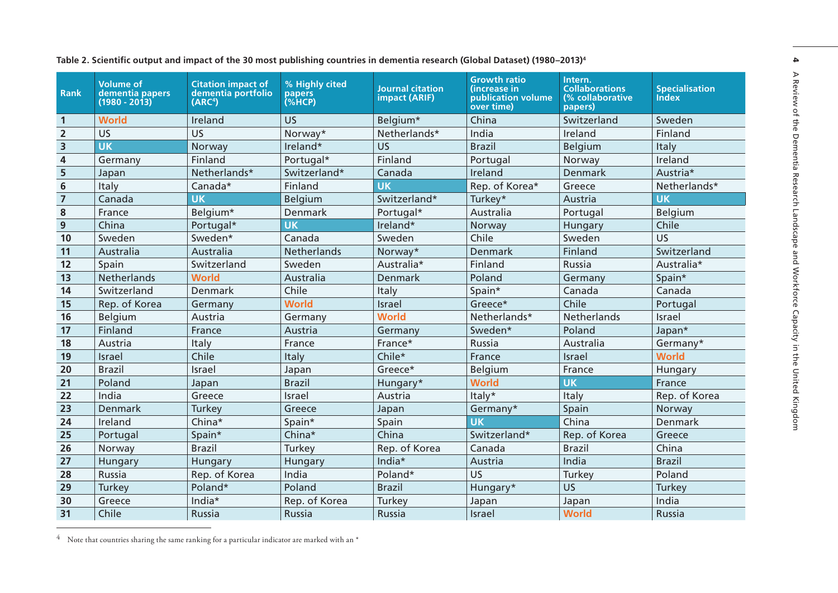| <b>Rank</b>    | <b>Volume of</b><br>dementia papers<br>(1980 - 2013) | <b>Citation impact of</b><br>dementia portfolio<br>(ARC <sup>4</sup> ) | % Highly cited<br>papers<br>(%HCP) | <b>Journal citation</b><br>impact (ARIF) | <b>Growth ratio</b><br>(increase in<br>publication volume<br>over time) | Intern.<br><b>Collaborations</b><br>(% collaborative<br>papers) | <b>Specialisation</b><br><b>Index</b> |
|----------------|------------------------------------------------------|------------------------------------------------------------------------|------------------------------------|------------------------------------------|-------------------------------------------------------------------------|-----------------------------------------------------------------|---------------------------------------|
| $\mathbf{1}$   | <b>World</b>                                         | Ireland                                                                | <b>US</b>                          | Belgium*                                 | China                                                                   | Switzerland                                                     | Sweden                                |
| $\overline{2}$ | US                                                   | <b>US</b>                                                              | Norway*                            | Netherlands*                             | India                                                                   | Ireland                                                         | Finland                               |
| 3              | <b>UK</b>                                            | Norway                                                                 | Ireland*                           | US                                       | <b>Brazil</b>                                                           | Belgium                                                         | Italy                                 |
| 4              | Germany                                              | Finland                                                                | Portugal*                          | Finland                                  | Portugal                                                                | Norway                                                          | Ireland                               |
| 5              | Japan                                                | Netherlands*                                                           | Switzerland*                       | Canada                                   | Ireland                                                                 | Denmark                                                         | Austria*                              |
| 6              | Italy                                                | Canada*                                                                | Finland                            | <b>UK</b>                                | Rep. of Korea*                                                          | Greece                                                          | Netherlands*                          |
| $\overline{7}$ | Canada                                               | <b>UK</b>                                                              | Belgium                            | Switzerland*                             | Turkey*                                                                 | Austria                                                         | <b>UK</b>                             |
| 8              | France                                               | Belgium*                                                               | Denmark                            | Portugal*                                | Australia                                                               | Portugal                                                        | Belgium                               |
| 9              | China                                                | Portugal*                                                              | <b>UK</b>                          | Ireland*                                 | Norway                                                                  | Hungary                                                         | Chile                                 |
| 10             | Sweden                                               | Sweden*                                                                | Canada                             | Sweden                                   | Chile                                                                   | Sweden                                                          | <b>US</b>                             |
| 11             | Australia                                            | Australia                                                              | Netherlands                        | Norway*                                  | <b>Denmark</b>                                                          | Finland                                                         | Switzerland                           |
| 12             | Spain                                                | Switzerland                                                            | Sweden                             | Australia*                               | Finland                                                                 | Russia                                                          | Australia*                            |
| 13             | Netherlands                                          | <b>World</b>                                                           | Australia                          | Denmark                                  | Poland                                                                  | Germany                                                         | Spain*                                |
| 14             | Switzerland                                          | Denmark                                                                | Chile                              | Italy                                    | Spain*                                                                  | Canada                                                          | Canada                                |
| 15             | Rep. of Korea                                        | Germany                                                                | World                              | Israel                                   | Greece*                                                                 | Chile                                                           | Portugal                              |
| 16             | Belgium                                              | Austria                                                                | Germany                            | <b>World</b>                             | Netherlands*                                                            | Netherlands                                                     | Israel                                |
| 17             | Finland                                              | France                                                                 | Austria                            | Germany                                  | Sweden*                                                                 | Poland                                                          | Japan*                                |
| 18             | Austria                                              | Italy                                                                  | France                             | France*                                  | Russia                                                                  | Australia                                                       | Germany*                              |
| 19             | Israel                                               | Chile                                                                  | Italy                              | Chile*                                   | France                                                                  | <b>Israel</b>                                                   | <b>World</b>                          |
| 20             | <b>Brazil</b>                                        | Israel                                                                 | Japan                              | Greece*                                  | Belgium                                                                 | France                                                          | Hungary                               |
| 21             | Poland                                               | Japan                                                                  | <b>Brazil</b>                      | Hungary*                                 | <b>World</b>                                                            | <b>UK</b>                                                       | France                                |
| 22             | India                                                | Greece                                                                 | Israel                             | Austria                                  | Italy*                                                                  | Italy                                                           | Rep. of Korea                         |
| 23             | Denmark                                              | Turkey                                                                 | Greece                             | Japan                                    | Germany*                                                                | Spain                                                           | Norway                                |
| 24             | Ireland                                              | China*                                                                 | Spain*                             | Spain                                    | <b>UK</b>                                                               | China                                                           | <b>Denmark</b>                        |
| 25             | Portugal                                             | Spain*                                                                 | China*                             | China                                    | Switzerland*                                                            | Rep. of Korea                                                   | Greece                                |
| 26             | Norway                                               | <b>Brazil</b>                                                          | Turkey                             | Rep. of Korea                            | Canada                                                                  | <b>Brazil</b>                                                   | China                                 |
| 27             | Hungary                                              | Hungary                                                                | Hungary                            | India*                                   | Austria                                                                 | India                                                           | <b>Brazil</b>                         |
| 28             | Russia                                               | Rep. of Korea                                                          | India                              | Poland*                                  | US                                                                      | Turkey                                                          | Poland                                |
| 29             | <b>Turkey</b>                                        | Poland*                                                                | Poland                             | <b>Brazil</b>                            | Hungary*                                                                | <b>US</b>                                                       | Turkey                                |
| 30             | Greece                                               | India*                                                                 | Rep. of Korea                      | Turkey                                   | Japan                                                                   | Japan                                                           | India                                 |
| 31             | Chile                                                | Russia                                                                 | Russia                             | Russia                                   | Israel                                                                  | <b>World</b>                                                    | Russia                                |

 $^{4}$  Note that countries sharing the same ranking for a particular indicator are marked with an  $^{*}$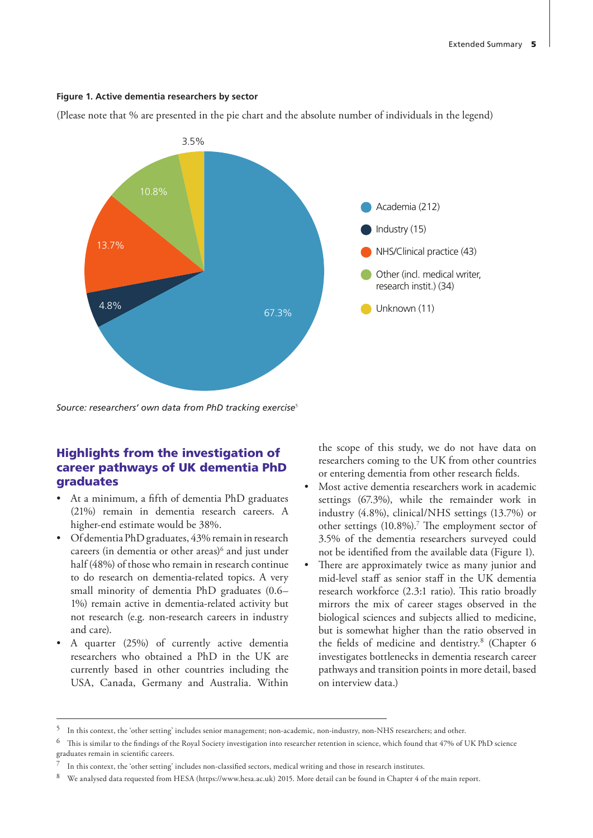#### **Figure 1. Active dementia researchers by sector**

(Please note that % are presented in the pie chart and the absolute number of individuals in the legend)



Source: researchers' own data from PhD tracking exercise<sup>5</sup>

## Highlights from the investigation of career pathways of UK dementia PhD graduates

- At a minimum, a fifth of dementia PhD graduates (21%) remain in dementia research careers. A higher-end estimate would be 38%.
- Of dementia PhD graduates, 43% remain in research careers (in dementia or other areas) $6$  and just under half (48%) of those who remain in research continue to do research on dementia-related topics. A very small minority of dementia PhD graduates (0.6– 1%) remain active in dementia-related activity but not research (e.g. non-research careers in industry and care).
- A quarter (25%) of currently active dementia researchers who obtained a PhD in the UK are currently based in other countries including the USA, Canada, Germany and Australia. Within

the scope of this study, we do not have data on researchers coming to the UK from other countries or entering dementia from other research fields.

- Most active dementia researchers work in academic settings (67.3%), while the remainder work in industry (4.8%), clinical/NHS settings (13.7%) or other settings (10.8%).<sup>7</sup> The employment sector of 3.5% of the dementia researchers surveyed could not be identified from the available data (Figure 1).
- There are approximately twice as many junior and mid-level staff as senior staff in the UK dementia research workforce (2.3:1 ratio). This ratio broadly mirrors the mix of career stages observed in the biological sciences and subjects allied to medicine, but is somewhat higher than the ratio observed in the fields of medicine and dentistry.<sup>8</sup> (Chapter 6 investigates bottlenecks in dementia research career pathways and transition points in more detail, based on interview data.)

<sup>5</sup> In this context, the 'other setting' includes senior management; non-academic, non-industry, non-NHS researchers; and other.

This is similar to the findings of the Royal Society investigation into researcher retention in science, which found that 47% of UK PhD science graduates remain in scientific careers.

<sup>7</sup> In this context, the 'other setting' includes non-classified sectors, medical writing and those in research institutes.

<sup>8</sup> We analysed data requested from HESA ([https://www.hesa.ac.uk\)](https://www.hesa.ac.uk) 2015. More detail can be found in Chapter 4 of the main report.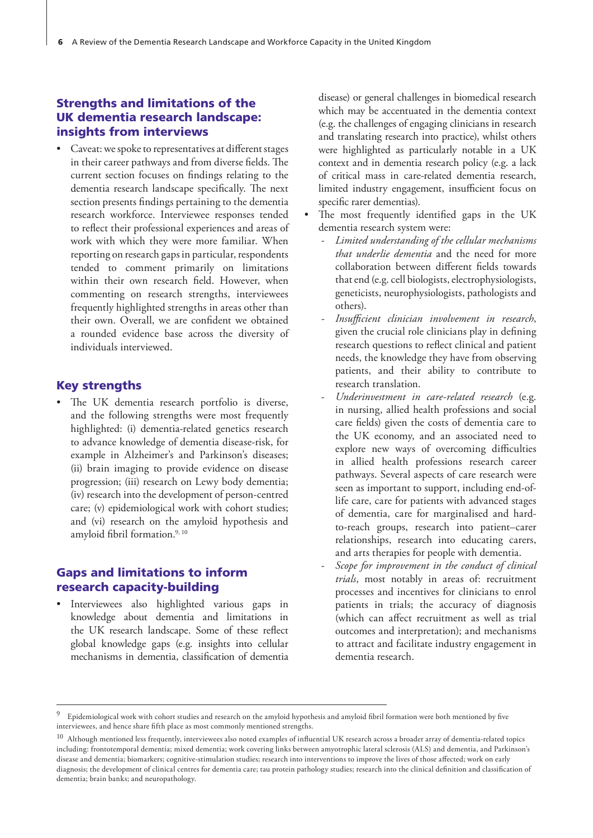# Strengths and limitations of the UK dementia research landscape: insights from interviews

• Caveat: we spoke to representatives at different stages in their career pathways and from diverse fields. The current section focuses on findings relating to the dementia research landscape specifically. The next section presents findings pertaining to the dementia research workforce. Interviewee responses tended to reflect their professional experiences and areas of work with which they were more familiar. When reporting on research gaps in particular, respondents tended to comment primarily on limitations within their own research field. However, when commenting on research strengths, interviewees frequently highlighted strengths in areas other than their own. Overall, we are confident we obtained a rounded evidence base across the diversity of individuals interviewed.

#### Key strengths

The UK dementia research portfolio is diverse, and the following strengths were most frequently highlighted: (i) dementia-related genetics research to advance knowledge of dementia disease-risk, for example in Alzheimer's and Parkinson's diseases; (ii) brain imaging to provide evidence on disease progression; (iii) research on Lewy body dementia; (iv) research into the development of person-centred care; (v) epidemiological work with cohort studies; and (vi) research on the amyloid hypothesis and amyloid fibril formation.<sup>9, 10</sup>

#### Gaps and limitations to inform research capacity-building

• Interviewees also highlighted various gaps in knowledge about dementia and limitations in the UK research landscape. Some of these reflect global knowledge gaps (e.g. insights into cellular mechanisms in dementia, classification of dementia disease) or general challenges in biomedical research which may be accentuated in the dementia context (e.g. the challenges of engaging clinicians in research and translating research into practice), whilst others were highlighted as particularly notable in a UK context and in dementia research policy (e.g. a lack of critical mass in care-related dementia research, limited industry engagement, insufficient focus on specific rarer dementias).

- The most frequently identified gaps in the UK dementia research system were:
	- *Limited understanding of the cellular mechanisms that underlie dementia* and the need for more collaboration between different fields towards that end (e.g. cell biologists, electrophysiologists, geneticists, neurophysiologists, pathologists and others).
	- *Insufficient clinician involvement in research*, given the crucial role clinicians play in defining research questions to reflect clinical and patient needs, the knowledge they have from observing patients, and their ability to contribute to research translation.
	- *Underinvestment in care-related research* (e.g. in nursing, allied health professions and social care fields) given the costs of dementia care to the UK economy, and an associated need to explore new ways of overcoming difficulties in allied health professions research career pathways. Several aspects of care research were seen as important to support, including end-oflife care, care for patients with advanced stages of dementia, care for marginalised and hardto-reach groups, research into patient–carer relationships, research into educating carers, and arts therapies for people with dementia.
	- *Scope for improvement in the conduct of clinical trials*, most notably in areas of: recruitment processes and incentives for clinicians to enrol patients in trials; the accuracy of diagnosis (which can affect recruitment as well as trial outcomes and interpretation); and mechanisms to attract and facilitate industry engagement in dementia research.

<sup>&</sup>lt;sup>9</sup> Epidemiological work with cohort studies and research on the amyloid hypothesis and amyloid fibril formation were both mentioned by five interviewees, and hence share fifth place as most commonly mentioned strengths.

 $10$  Although mentioned less frequently, interviewees also noted examples of influential UK research across a broader array of dementia-related topics including: frontotemporal dementia; mixed dementia; work covering links between amyotrophic lateral sclerosis (ALS) and dementia, and Parkinson's disease and dementia; biomarkers; cognitive-stimulation studies; research into interventions to improve the lives of those affected; work on early diagnosis; the development of clinical centres for dementia care; tau protein pathology studies; research into the clinical definition and classification of dementia; brain banks; and neuropathology.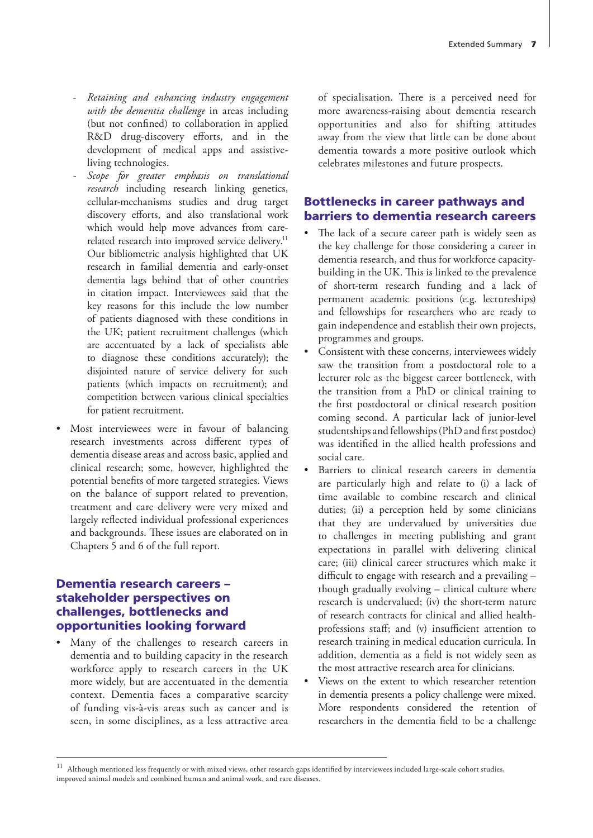- *Retaining and enhancing industry engagement with the dementia challenge* in areas including (but not confined) to collaboration in applied R&D drug-discovery efforts, and in the development of medical apps and assistiveliving technologies.
- *Scope for greater emphasis on translational research* including research linking genetics, cellular-mechanisms studies and drug target discovery efforts, and also translational work which would help move advances from carerelated research into improved service delivery.<sup>11</sup> Our bibliometric analysis highlighted that UK research in familial dementia and early-onset dementia lags behind that of other countries in citation impact. Interviewees said that the key reasons for this include the low number of patients diagnosed with these conditions in the UK; patient recruitment challenges (which are accentuated by a lack of specialists able to diagnose these conditions accurately); the disjointed nature of service delivery for such patients (which impacts on recruitment); and competition between various clinical specialties for patient recruitment.
- Most interviewees were in favour of balancing research investments across different types of dementia disease areas and across basic, applied and clinical research; some, however, highlighted the potential benefits of more targeted strategies. Views on the balance of support related to prevention, treatment and care delivery were very mixed and largely reflected individual professional experiences and backgrounds. These issues are elaborated on in Chapters 5 and 6 of the full report.

# Dementia research careers – stakeholder perspectives on challenges, bottlenecks and opportunities looking forward

• Many of the challenges to research careers in dementia and to building capacity in the research workforce apply to research careers in the UK more widely, but are accentuated in the dementia context. Dementia faces a comparative scarcity of funding vis-à-vis areas such as cancer and is seen, in some disciplines, as a less attractive area of specialisation. There is a perceived need for more awareness-raising about dementia research opportunities and also for shifting attitudes away from the view that little can be done about dementia towards a more positive outlook which celebrates milestones and future prospects.

## Bottlenecks in career pathways and barriers to dementia research careers

- The lack of a secure career path is widely seen as the key challenge for those considering a career in dementia research, and thus for workforce capacitybuilding in the UK. This is linked to the prevalence of short-term research funding and a lack of permanent academic positions (e.g. lectureships) and fellowships for researchers who are ready to gain independence and establish their own projects, programmes and groups.
- Consistent with these concerns, interviewees widely saw the transition from a postdoctoral role to a lecturer role as the biggest career bottleneck, with the transition from a PhD or clinical training to the first postdoctoral or clinical research position coming second. A particular lack of junior-level studentships and fellowships (PhD and first postdoc) was identified in the allied health professions and social care.
- Barriers to clinical research careers in dementia are particularly high and relate to (i) a lack of time available to combine research and clinical duties; (ii) a perception held by some clinicians that they are undervalued by universities due to challenges in meeting publishing and grant expectations in parallel with delivering clinical care; (iii) clinical career structures which make it difficult to engage with research and a prevailing – though gradually evolving – clinical culture where research is undervalued; (iv) the short-term nature of research contracts for clinical and allied healthprofessions staff; and (v) insufficient attention to research training in medical education curricula. In addition, dementia as a field is not widely seen as the most attractive research area for clinicians.
- Views on the extent to which researcher retention in dementia presents a policy challenge were mixed. More respondents considered the retention of researchers in the dementia field to be a challenge

<sup>&</sup>lt;sup>11</sup> Although mentioned less frequently or with mixed views, other research gaps identified by interviewees included large-scale cohort studies, improved animal models and combined human and animal work, and rare diseases.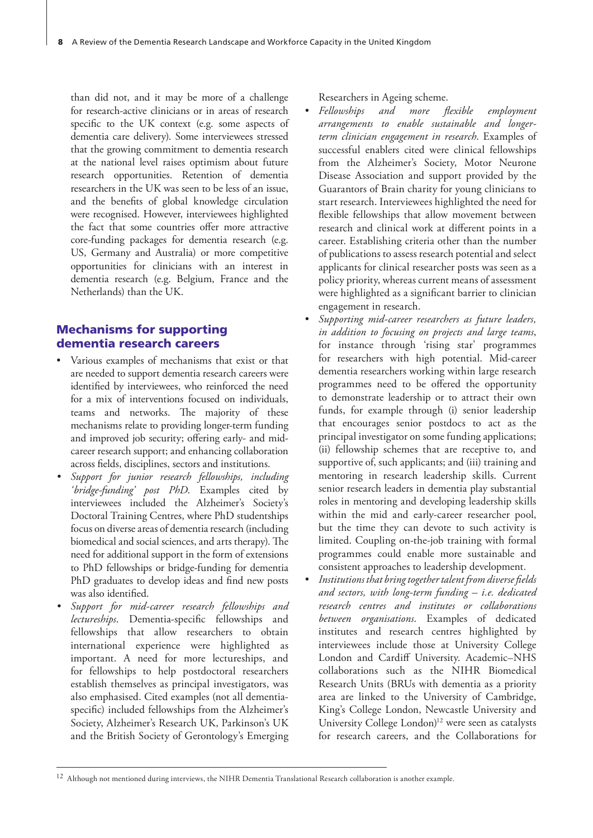than did not, and it may be more of a challenge for research-active clinicians or in areas of research specific to the UK context (e.g. some aspects of dementia care delivery). Some interviewees stressed that the growing commitment to dementia research at the national level raises optimism about future research opportunities. Retention of dementia researchers in the UK was seen to be less of an issue, and the benefits of global knowledge circulation were recognised. However, interviewees highlighted the fact that some countries offer more attractive core-funding packages for dementia research (e.g. US, Germany and Australia) or more competitive opportunities for clinicians with an interest in dementia research (e.g. Belgium, France and the Netherlands) than the UK.

# Mechanisms for supporting dementia research careers

- Various examples of mechanisms that exist or that are needed to support dementia research careers were identified by interviewees, who reinforced the need for a mix of interventions focused on individuals, teams and networks. The majority of these mechanisms relate to providing longer-term funding and improved job security; offering early- and midcareer research support; and enhancing collaboration across fields, disciplines, sectors and institutions.
- *• Support for junior research fellowships, including 'bridge-funding' post PhD*. Examples cited by interviewees included the Alzheimer's Society's Doctoral Training Centres, where PhD studentships focus on diverse areas of dementia research (including biomedical and social sciences, and arts therapy). The need for additional support in the form of extensions to PhD fellowships or bridge-funding for dementia PhD graduates to develop ideas and find new posts was also identified.
- *• Support for mid-career research fellowships and lectureships*. Dementia-specific fellowships and fellowships that allow researchers to obtain international experience were highlighted as important. A need for more lectureships, and for fellowships to help postdoctoral researchers establish themselves as principal investigators, was also emphasised. Cited examples (not all dementiaspecific) included fellowships from the Alzheimer's Society, Alzheimer's Research UK, Parkinson's UK and the British Society of Gerontology's Emerging

Researchers in Ageing scheme.

- *• Fellowships and more flexible employment arrangements to enable sustainable and longerterm clinician engagement in research*. Examples of successful enablers cited were clinical fellowships from the Alzheimer's Society, Motor Neurone Disease Association and support provided by the Guarantors of Brain charity for young clinicians to start research. Interviewees highlighted the need for flexible fellowships that allow movement between research and clinical work at different points in a career. Establishing criteria other than the number of publications to assess research potential and select applicants for clinical researcher posts was seen as a policy priority, whereas current means of assessment were highlighted as a significant barrier to clinician engagement in research.
- *• Supporting mid-career researchers as future leaders, in addition to focusing on projects and large teams*, for instance through 'rising star' programmes for researchers with high potential. Mid-career dementia researchers working within large research programmes need to be offered the opportunity to demonstrate leadership or to attract their own funds, for example through (i) senior leadership that encourages senior postdocs to act as the principal investigator on some funding applications; (ii) fellowship schemes that are receptive to, and supportive of, such applicants; and (iii) training and mentoring in research leadership skills. Current senior research leaders in dementia play substantial roles in mentoring and developing leadership skills within the mid and early-career researcher pool, but the time they can devote to such activity is limited. Coupling on-the-job training with formal programmes could enable more sustainable and consistent approaches to leadership development.
- *• Institutions that bring together talent from diverse fields and sectors, with long-term funding – i.e. dedicated research centres and institutes or collaborations between organisations*. Examples of dedicated institutes and research centres highlighted by interviewees include those at University College London and Cardiff University. Academic–NHS collaborations such as the NIHR Biomedical Research Units (BRUs with dementia as a priority area are linked to the University of Cambridge, King's College London, Newcastle University and University College London)<sup>12</sup> were seen as catalysts for research careers, and the Collaborations for

<sup>&</sup>lt;sup>12</sup> Although not mentioned during interviews, the NIHR Dementia Translational Research collaboration is another example.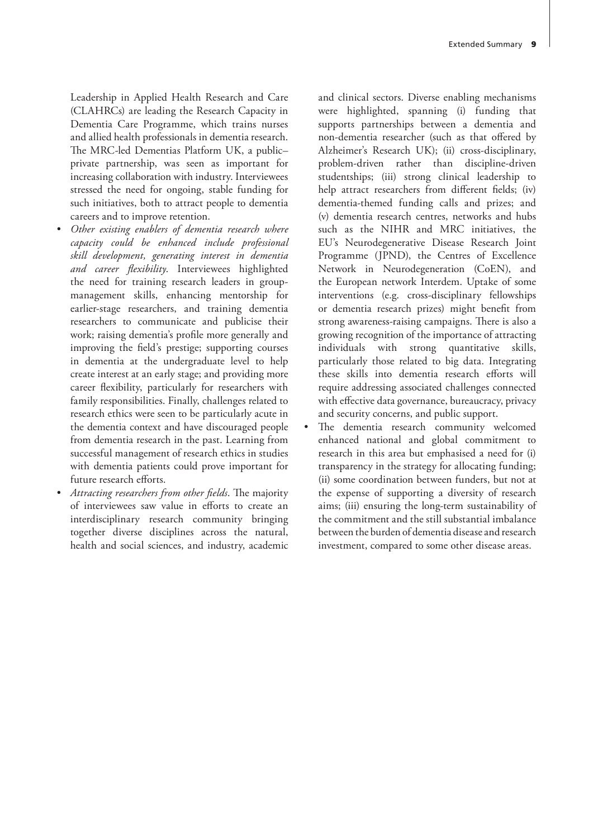Leadership in Applied Health Research and Care (CLAHRCs) are leading the Research Capacity in Dementia Care Programme, which trains nurses and allied health professionals in dementia research. The MRC-led Dementias Platform UK, a public– private partnership, was seen as important for increasing collaboration with industry. Interviewees stressed the need for ongoing, stable funding for such initiatives, both to attract people to dementia careers and to improve retention.

- *• Other existing enablers of dementia research where capacity could be enhanced include professional skill development, generating interest in dementia and career flexibility*. Interviewees highlighted the need for training research leaders in groupmanagement skills, enhancing mentorship for earlier-stage researchers, and training dementia researchers to communicate and publicise their work; raising dementia's profile more generally and improving the field's prestige; supporting courses in dementia at the undergraduate level to help create interest at an early stage; and providing more career flexibility, particularly for researchers with family responsibilities. Finally, challenges related to research ethics were seen to be particularly acute in the dementia context and have discouraged people from dementia research in the past. Learning from successful management of research ethics in studies with dementia patients could prove important for future research efforts.
- *• Attracting researchers from other fields*. The majority of interviewees saw value in efforts to create an interdisciplinary research community bringing together diverse disciplines across the natural, health and social sciences, and industry, academic

and clinical sectors. Diverse enabling mechanisms were highlighted, spanning (i) funding that supports partnerships between a dementia and non-dementia researcher (such as that offered by Alzheimer's Research UK); (ii) cross-disciplinary, problem-driven rather than discipline-driven studentships; (iii) strong clinical leadership to help attract researchers from different fields; (iv) dementia-themed funding calls and prizes; and (v) dementia research centres, networks and hubs such as the NIHR and MRC initiatives, the EU's Neurodegenerative Disease Research Joint Programme (JPND), the Centres of Excellence Network in Neurodegeneration (CoEN), and the European network Interdem. Uptake of some interventions (e.g. cross-disciplinary fellowships or dementia research prizes) might benefit from strong awareness-raising campaigns. There is also a growing recognition of the importance of attracting individuals with strong quantitative skills, particularly those related to big data. Integrating these skills into dementia research efforts will require addressing associated challenges connected with effective data governance, bureaucracy, privacy and security concerns, and public support.

The dementia research community welcomed enhanced national and global commitment to research in this area but emphasised a need for (i) transparency in the strategy for allocating funding; (ii) some coordination between funders, but not at the expense of supporting a diversity of research aims; (iii) ensuring the long-term sustainability of the commitment and the still substantial imbalance between the burden of dementia disease and research investment, compared to some other disease areas.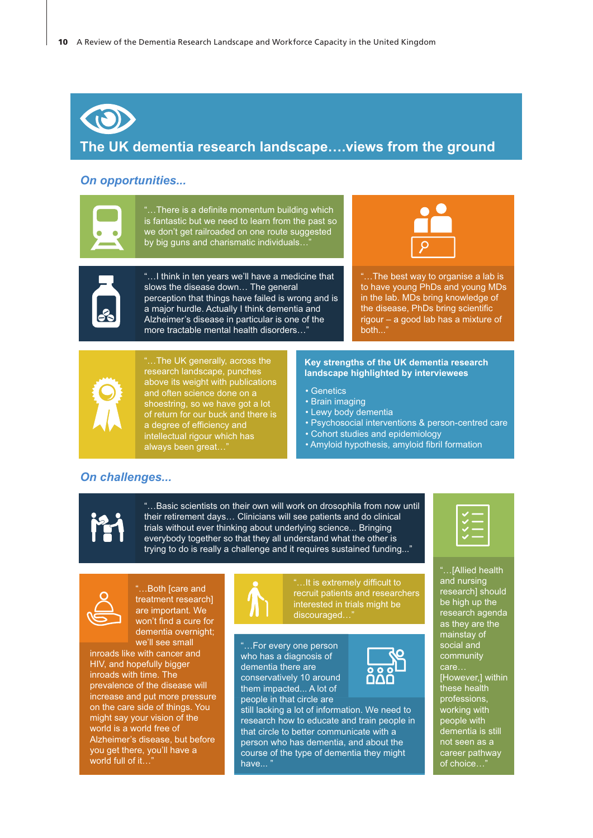# **The UK dementia research landscape….views from the ground**

#### *On opportunities...*



...There is a definite momentum building which is fantastic but we need to learn from the past so we don't get railroaded on one route suggested by big guns and charismatic individuals..

"…I think in ten years we'll have a medicine that

perception that things have failed is wrong and is a major hurdle. Actually I think dementia and Alzheimer's disease in particular is one of the more tractable mental health disorders…"

slows the disease down… The general



"…The best way to organise a lab is to have young PhDs and young MDs in the lab. MDs bring knowledge of the disease, PhDs bring scientific rigour – a good lab has a mixture of both..."



"…The UK generally, across the research landscape, punches above its weight with publications and often science done on a shoestring, so we have got a lot of return for our buck and there is a degree of efficiency and intellectual rigour which has always been great...

#### **Key strengths of the UK dementia research landscape highlighted by interviewees**

- Genetics
- Brain imaging
- Lewy body dementia
- Psychosocial interventions & person-centred care
- Cohort studies and epidemiology
- Amyloid hypothesis, amyloid fibril formation

#### *On challenges...*



"…Basic scientists on their own will work on drosophila from now until their retirement days… Clinicians will see patients and do clinical trials without ever thinking about underlying science... Bringing everybody together so that they all understand what the other is trying to do is really a challenge and it requires sustained funding..."



"…Both [care and treatment research] are important. We won't find a cure for dementia overnight; we'll see small

inroads like with cancer and HIV, and hopefully bigger inroads with time. The prevalence of the disease will increase and put more pressure on the care side of things. You might say your vision of the world is a world free of Alzheimer's disease, but before you get there, you'll have a world full of it...



"…It is extremely difficult to recruit patients and researchers interested in trials might be discouraged...

...For every one person who has a diagnosis of dementia there are conservatively 10 around them impacted... A lot of people in that circle are





| -- |
|----|
|----|

"…[Allied health and nursing research] should be high up the research agenda as they are the mainstay of social and community care… [However,] within these health professions, working with people with dementia is still not seen as a career pathway of choice…"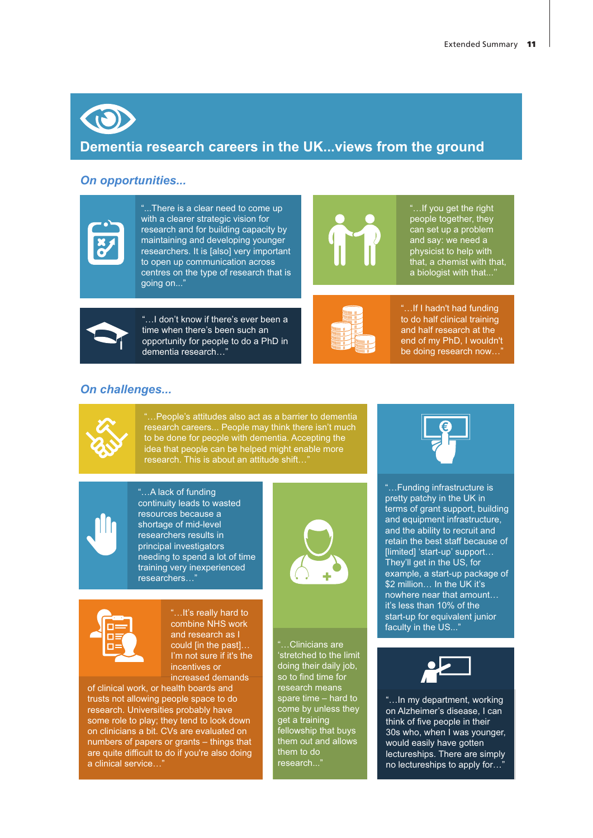# **Dementia research careers in the UK...views from the ground**

#### *On opportunities...*



"...There is a clear need to come up with a clearer strategic vision for research and for building capacity by maintaining and developing younger researchers. It is [also] very important to open up communication across centres on the type of research that is going on..."



"…If you get the right people together, they can set up a problem and say: we need a physicist to help with that, a chemist with that, a biologist with that...''



"…I don't know if there's ever been a time when there's been such an opportunity for people to do a PhD in dementia research…"



"…If I hadn't had funding to do half clinical training and half research at the end of my PhD, I wouldn't be doing research now...

# *On challenges...*



"…People's attitudes also act as a barrier to dementia research careers... People may think there isn't much to be done for people with dementia. Accepting the idea that people can be helped might enable more research. This is about an attitude shift...



"…A lack of funding continuity leads to wasted resources because a shortage of mid-level researchers results in principal investigators needing to spend a lot of time training very inexperienced researchers…"



"…Clinicians are 'stretched to the limit doing their daily job, so to find time for research means spare time – hard to come by unless they get a training fellowship that buys them out and allows them to do research..."



"…Funding infrastructure is pretty patchy in the UK in terms of grant support, building and equipment infrastructure, and the ability to recruit and retain the best staff because of [limited] 'start-up' support… They'll get in the US, for example, a start-up package of \$2 million… In the UK it's nowhere near that amount… it's less than 10% of the start-up for equivalent junior faculty in the US..."



"…In my department, working on Alzheimer's disease, I can think of five people in their 30s who, when I was younger, would easily have gotten lectureships. There are simply no lectureships to apply for...



"…It's really hard to combine NHS work and research as I could [in the past]… I'm not sure if it's the incentives or

increased demands of clinical work, or health boards and trusts not allowing people space to do research. Universities probably have some role to play; they tend to look down on clinicians a bit. CVs are evaluated on numbers of papers or grants – things that are quite difficult to do if you're also doing a clinical service…"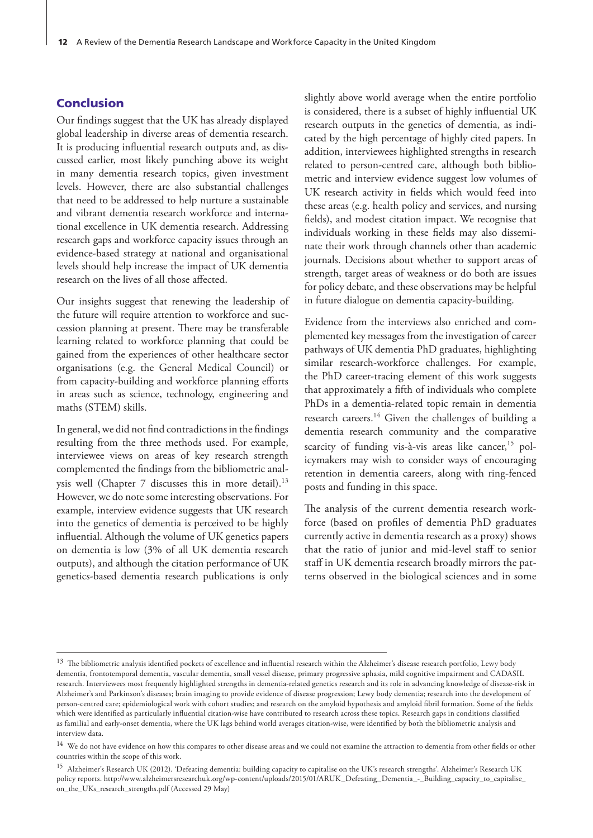#### Conclusion

Our findings suggest that the UK has already displayed global leadership in diverse areas of dementia research. It is producing influential research outputs and, as discussed earlier, most likely punching above its weight in many dementia research topics, given investment levels. However, there are also substantial challenges that need to be addressed to help nurture a sustainable and vibrant dementia research workforce and international excellence in UK dementia research. Addressing research gaps and workforce capacity issues through an evidence-based strategy at national and organisational levels should help increase the impact of UK dementia research on the lives of all those affected.

Our insights suggest that renewing the leadership of the future will require attention to workforce and succession planning at present. There may be transferable learning related to workforce planning that could be gained from the experiences of other healthcare sector organisations (e.g. the General Medical Council) or from capacity-building and workforce planning efforts in areas such as science, technology, engineering and maths (STEM) skills.

In general, we did not find contradictions in the findings resulting from the three methods used. For example, interviewee views on areas of key research strength complemented the findings from the bibliometric analysis well (Chapter 7 discusses this in more detail).<sup>13</sup> However, we do note some interesting observations. For example, interview evidence suggests that UK research into the genetics of dementia is perceived to be highly influential. Although the volume of UK genetics papers on dementia is low (3% of all UK dementia research outputs), and although the citation performance of UK genetics-based dementia research publications is only slightly above world average when the entire portfolio is considered, there is a subset of highly influential UK research outputs in the genetics of dementia, as indicated by the high percentage of highly cited papers. In addition, interviewees highlighted strengths in research related to person-centred care, although both bibliometric and interview evidence suggest low volumes of UK research activity in fields which would feed into these areas (e.g. health policy and services, and nursing fields), and modest citation impact. We recognise that individuals working in these fields may also disseminate their work through channels other than academic journals. Decisions about whether to support areas of strength, target areas of weakness or do both are issues for policy debate, and these observations may be helpful in future dialogue on dementia capacity-building.

Evidence from the interviews also enriched and complemented key messages from the investigation of career pathways of UK dementia PhD graduates, highlighting similar research-workforce challenges. For example, the PhD career-tracing element of this work suggests that approximately a fifth of individuals who complete PhDs in a dementia-related topic remain in dementia research careers.<sup>14</sup> Given the challenges of building a dementia research community and the comparative scarcity of funding vis-à-vis areas like cancer,<sup>15</sup> policymakers may wish to consider ways of encouraging retention in dementia careers, along with ring-fenced posts and funding in this space.

The analysis of the current dementia research workforce (based on profiles of dementia PhD graduates currently active in dementia research as a proxy) shows that the ratio of junior and mid-level staff to senior staff in UK dementia research broadly mirrors the patterns observed in the biological sciences and in some

<sup>&</sup>lt;sup>13</sup> The bibliometric analysis identified pockets of excellence and influential research within the Alzheimer's disease research portfolio, Lewy body dementia, frontotemporal dementia, vascular dementia, small vessel disease, primary progressive aphasia, mild cognitive impairment and CADASIL research. Interviewees most frequently highlighted strengths in dementia-related genetics research and its role in advancing knowledge of disease-risk in Alzheimer's and Parkinson's diseases; brain imaging to provide evidence of disease progression; Lewy body dementia; research into the development of person-centred care; epidemiological work with cohort studies; and research on the amyloid hypothesis and amyloid fibril formation. Some of the fields which were identified as particularly influential citation-wise have contributed to research across these topics. Research gaps in conditions classified as familial and early-onset dementia, where the UK lags behind world averages citation-wise, were identified by both the bibliometric analysis and interview data.

<sup>&</sup>lt;sup>14</sup> We do not have evidence on how this compares to other disease areas and we could not examine the attraction to dementia from other fields or other countries within the scope of this work.

<sup>&</sup>lt;sup>15</sup> Alzheimer's Research UK (2012). 'Defeating dementia: building capacity to capitalise on the UK's research strengths'. Alzheimer's Research UK policy reports. [http://www.alzheimersresearchuk.org/wp-content/uploads/2015/01/ARUK\\_Defeating\\_Dementia\\_](http://www.alzheimersresearchuk.org/wp-content/uploads/2015/01/ARUK_Defeating_Dementia_-_Building_capacity_to_capitalise_on_the_UKs_research_strengths.pdf)-\_Building\_capacity\_to\_capitalise\_ [on\\_the\\_UKs\\_research\\_strengths.pdf](http://www.alzheimersresearchuk.org/wp-content/uploads/2015/01/ARUK_Defeating_Dementia_-_Building_capacity_to_capitalise_on_the_UKs_research_strengths.pdf) (Accessed 29 May)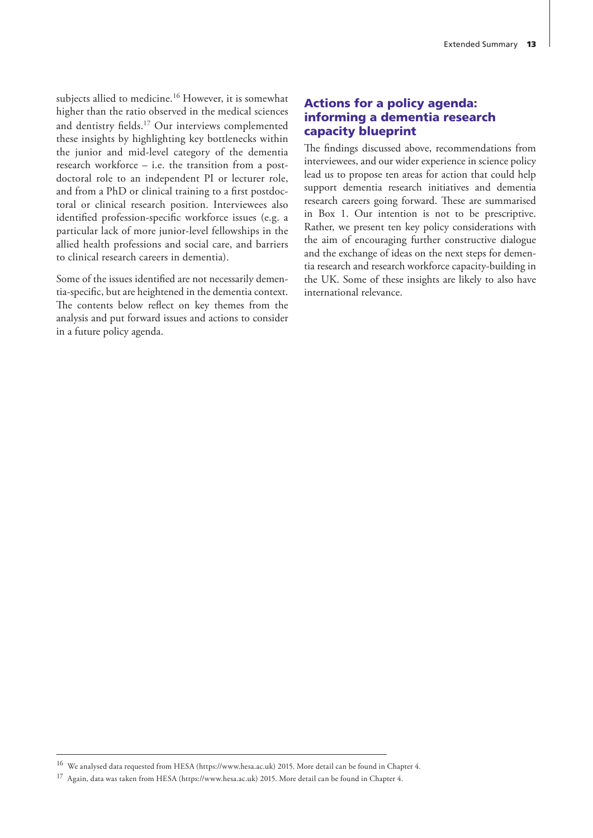subjects allied to medicine.<sup>16</sup> However, it is somewhat higher than the ratio observed in the medical sciences and dentistry fields.17 Our interviews complemented these insights by highlighting key bottlenecks within the junior and mid-level category of the dementia research workforce – i.e. the transition from a postdoctoral role to an independent PI or lecturer role, and from a PhD or clinical training to a first postdoctoral or clinical research position. Interviewees also identified profession-specific workforce issues (e.g. a particular lack of more junior-level fellowships in the allied health professions and social care, and barriers to clinical research careers in dementia).

Some of the issues identified are not necessarily dementia-specific, but are heightened in the dementia context. The contents below reflect on key themes from the analysis and put forward issues and actions to consider in a future policy agenda.

## Actions for a policy agenda: informing a dementia research capacity blueprint

The findings discussed above, recommendations from interviewees, and our wider experience in science policy lead us to propose ten areas for action that could help support dementia research initiatives and dementia research careers going forward. These are summarised in Box 1. Our intention is not to be prescriptive. Rather, we present ten key policy considerations with the aim of encouraging further constructive dialogue and the exchange of ideas on the next steps for dementia research and research workforce capacity-building in the UK. Some of these insights are likely to also have international relevance.

<sup>16</sup> We analysed data requested from HESA (<https://www.hesa.ac.uk>) 2015. More detail can be found in Chapter 4.

<sup>17</sup> Again, data was taken from HESA [\(https://www.hesa.ac.uk](https://www.hesa.ac.uk)) 2015. More detail can be found in Chapter 4.